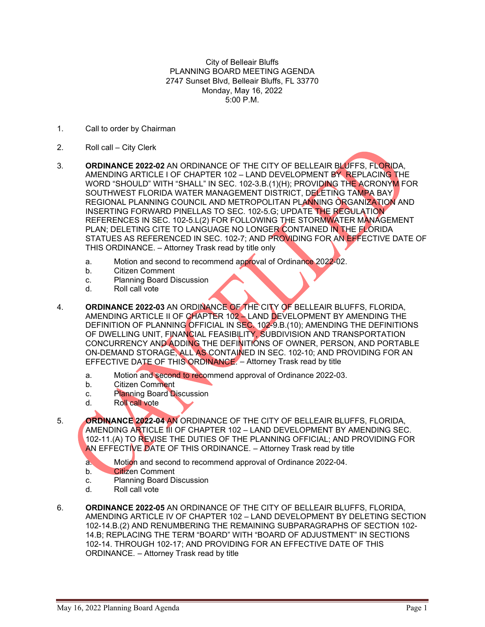City of Belleair Bluffs PLANNING BOARD MEETING AGENDA 2747 Sunset Blvd, Belleair Bluffs, FL 33770 Monday, May 16, 2022 5:00 P.M.

- 1. Call to order by Chairman
- 2. Roll call City Clerk
- 3. **ORDINANCE 2022-02** AN ORDINANCE OF THE CITY OF BELLEAIR BLUFFS, FLORIDA, AMENDING ARTICLE I OF CHAPTER 102 – LAND DEVELOPMENT BY REPLACING THE WORD "SHOULD" WITH "SHALL" IN SEC. 102-3.B.(1)(H); PROVIDING THE ACRONYM FOR SOUTHWEST FLORIDA WATER MANAGEMENT DISTRICT, DELETING TAMPA BAY REGIONAL PLANNING COUNCIL AND METROPOLITAN PLANNING ORGANIZATION AND INSERTING FORWARD PINELLAS TO SEC. 102-5.G; UPDATE THE REGULATION REFERENCES IN SEC. 102-5.L(2) FOR FOLLOWING THE STORMWATER MANAGEMENT PLAN; DELETING CITE TO LANGUAGE NO LONGER CONTAINED IN THE FLORIDA STATUES AS REFERENCED IN SEC. 102-7; AND PROVIDING FOR AN EFFECTIVE DATE OF THIS ORDINANCE. – Attorney Trask read by title only
	- a. Motion and second to recommend approval of Ordinance 2022-02.
	- b. Citizen Comment
	- c. Planning Board Discussion<br>d. Roll call vote
	- Roll call vote
- 4. **ORDINANCE 2022-03** AN ORDINANCE OF THE CITY OF BELLEAIR BLUFFS, FLORIDA, AMENDING ARTICLE II OF CHAPTER 102 – LAND DEVELOPMENT BY AMENDING THE DEFINITION OF PLANNING OFFICIAL IN SEC. 102-9.B.(10); AMENDING THE DEFINITIONS OF DWELLING UNIT, FINANCIAL FEASIBILITY, SUBDIVISION AND TRANSPORTATION CONCURRENCY AND ADDING THE DEFINITIONS OF OWNER, PERSON, AND PORTABLE ON-DEMAND STORAGE, ALL AS CONTAINED IN SEC. 102-10; AND PROVIDING FOR AN EFFECTIVE DATE OF THIS ORDINANCE. – Attorney Trask read by title
	- a. Motion and second to recommend approval of Ordinance 2022-03.
	- b. Citizen Comment
	- c. Planning Board Discussion
	- d. Roll call vote
- 5. **ORDINANCE 2022-04** AN ORDINANCE OF THE CITY OF BELLEAIR BLUFFS, FLORIDA, AMENDING ARTICLE III OF CHAPTER 102 – LAND DEVELOPMENT BY AMENDING SEC. 102-11.(A) TO REVISE THE DUTIES OF THE PLANNING OFFICIAL; AND PROVIDING FOR AN EFFECTIVE DATE OF THIS ORDINANCE. - Attorney Trask read by title
	- a. Motion and second to recommend approval of Ordinance 2022-04.
	- b. Citizen Comment
	- c. Planning Board Discussion
	- d. Roll call vote
- 6. **ORDINANCE 2022-05** AN ORDINANCE OF THE CITY OF BELLEAIR BLUFFS, FLORIDA, AMENDING ARTICLE IV OF CHAPTER 102 – LAND DEVELOPMENT BY DELETING SECTION 102-14.B.(2) AND RENUMBERING THE REMAINING SUBPARAGRAPHS OF SECTION 102- 14.B; REPLACING THE TERM "BOARD" WITH "BOARD OF ADJUSTMENT" IN SECTIONS 102-14. THROUGH 102-17; AND PROVIDING FOR AN EFFECTIVE DATE OF THIS ORDINANCE. – Attorney Trask read by title